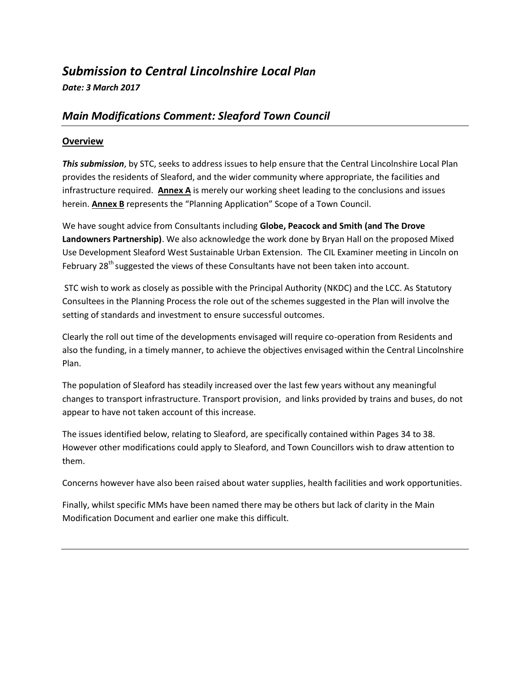# *Submission to Central Lincolnshire Local Plan*

# *Date: 3 March 2017*

# *Main Modifications Comment: Sleaford Town Council*

## **Overview**

*This submission*, by STC, seeks to address issues to help ensure that the Central Lincolnshire Local Plan provides the residents of Sleaford, and the wider community where appropriate, the facilities and infrastructure required. **Annex A** is merely our working sheet leading to the conclusions and issues herein. **Annex B** represents the "Planning Application" Scope of a Town Council.

We have sought advice from Consultants including **Globe, Peacock and Smith (and The Drove Landowners Partnership)**. We also acknowledge the work done by Bryan Hall on the proposed Mixed Use Development Sleaford West Sustainable Urban Extension. The CIL Examiner meeting in Lincoln on February 28<sup>th</sup> suggested the views of these Consultants have not been taken into account.

STC wish to work as closely as possible with the Principal Authority (NKDC) and the LCC. As Statutory Consultees in the Planning Process the role out of the schemes suggested in the Plan will involve the setting of standards and investment to ensure successful outcomes.

Clearly the roll out time of the developments envisaged will require co-operation from Residents and also the funding, in a timely manner, to achieve the objectives envisaged within the Central Lincolnshire Plan.

The population of Sleaford has steadily increased over the last few years without any meaningful changes to transport infrastructure. Transport provision, and links provided by trains and buses, do not appear to have not taken account of this increase.

The issues identified below, relating to Sleaford, are specifically contained within Pages 34 to 38. However other modifications could apply to Sleaford, and Town Councillors wish to draw attention to them.

Concerns however have also been raised about water supplies, health facilities and work opportunities.

Finally, whilst specific MMs have been named there may be others but lack of clarity in the Main Modification Document and earlier one make this difficult.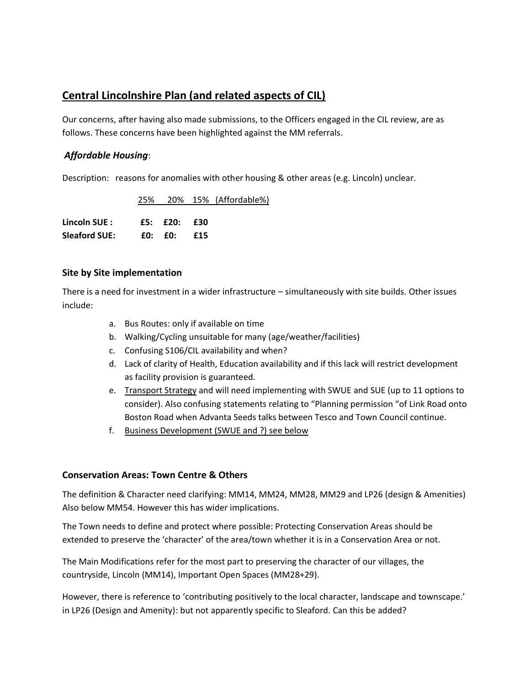# **Central Lincolnshire Plan (and related aspects of CIL)**

Our concerns, after having also made submissions, to the Officers engaged in the CIL review, are as follows. These concerns have been highlighted against the MM referrals.

# *Affordable Housing*:

Description: reasons for anomalies with other housing & other areas (e.g. Lincoln) unclear.

|                             |  | 25% 20% 15% (Affordable%) |
|-----------------------------|--|---------------------------|
|                             |  |                           |
| Lincoln SUE: $£5: £20: £30$ |  |                           |
| Sleaford SUE: £0: £0: £15   |  |                           |

## **Site by Site implementation**

There is a need for investment in a wider infrastructure – simultaneously with site builds. Other issues include:

- a. Bus Routes: only if available on time
- b. Walking/Cycling unsuitable for many (age/weather/facilities)
- c. Confusing S106/CIL availability and when?
- d. Lack of clarity of Health, Education availability and if this lack will restrict development as facility provision is guaranteed.
- e. Transport Strategy and will need implementing with SWUE and SUE (up to 11 options to consider). Also confusing statements relating to "Planning permission "of Link Road onto Boston Road when Advanta Seeds talks between Tesco and Town Council continue.
- f. Business Development (SWUE and ?) see below

## **Conservation Areas: Town Centre & Others**

The definition & Character need clarifying: MM14, MM24, MM28, MM29 and LP26 (design & Amenities) Also below MM54. However this has wider implications.

The Town needs to define and protect where possible: Protecting Conservation Areas should be extended to preserve the 'character' of the area/town whether it is in a Conservation Area or not.

The Main Modifications refer for the most part to preserving the character of our villages, the countryside, Lincoln (MM14), Important Open Spaces (MM28+29).

However, there is reference to 'contributing positively to the local character, landscape and townscape.' in LP26 (Design and Amenity): but not apparently specific to Sleaford. Can this be added?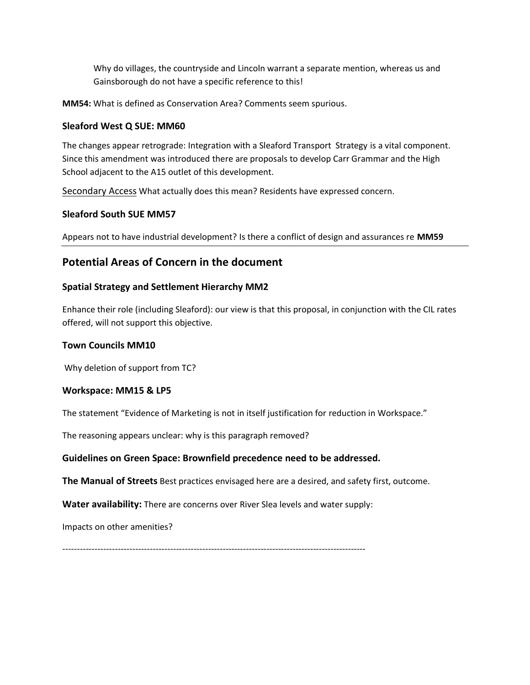Why do villages, the countryside and Lincoln warrant a separate mention, whereas us and Gainsborough do not have a specific reference to this!

**MM54:** What is defined as Conservation Area? Comments seem spurious.

# **Sleaford West Q SUE: MM60**

The changes appear retrograde: Integration with a Sleaford Transport Strategy is a vital component. Since this amendment was introduced there are proposals to develop Carr Grammar and the High School adjacent to the A15 outlet of this development.

Secondary Access What actually does this mean? Residents have expressed concern.

#### **Sleaford South SUE MM57**

Appears not to have industrial development? Is there a conflict of design and assurances re **MM59**

# **Potential Areas of Concern in the document**

#### **Spatial Strategy and Settlement Hierarchy MM2**

Enhance their role (including Sleaford): our view is that this proposal, in conjunction with the CIL rates offered, will not support this objective.

#### **Town Councils MM10**

Why deletion of support from TC?

## **Workspace: MM15 & LP5**

The statement "Evidence of Marketing is not in itself justification for reduction in Workspace."

The reasoning appears unclear: why is this paragraph removed?

## **Guidelines on Green Space: Brownfield precedence need to be addressed.**

**The Manual of Streets** Best practices envisaged here are a desired, and safety first, outcome.

**Water availability:** There are concerns over River Slea levels and water supply:

Impacts on other amenities?

--------------------------------------------------------------------------------------------------------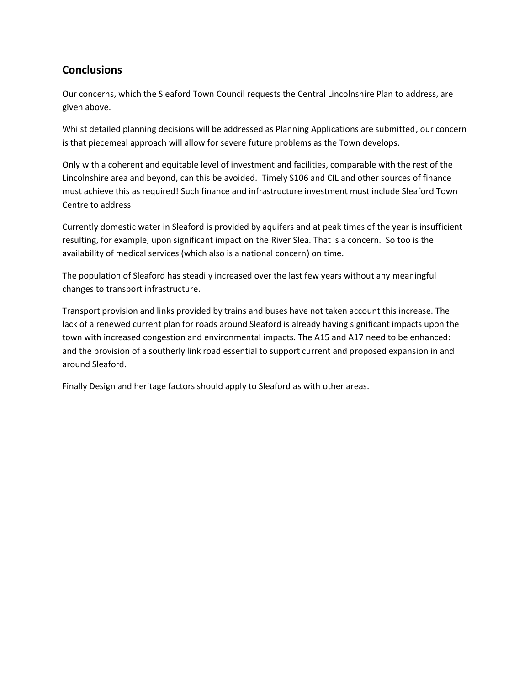# **Conclusions**

Our concerns, which the Sleaford Town Council requests the Central Lincolnshire Plan to address, are given above.

Whilst detailed planning decisions will be addressed as Planning Applications are submitted, our concern is that piecemeal approach will allow for severe future problems as the Town develops.

Only with a coherent and equitable level of investment and facilities, comparable with the rest of the Lincolnshire area and beyond, can this be avoided. Timely S106 and CIL and other sources of finance must achieve this as required! Such finance and infrastructure investment must include Sleaford Town Centre to address

Currently domestic water in Sleaford is provided by aquifers and at peak times of the year is insufficient resulting, for example, upon significant impact on the River Slea. That is a concern. So too is the availability of medical services (which also is a national concern) on time.

The population of Sleaford has steadily increased over the last few years without any meaningful changes to transport infrastructure.

Transport provision and links provided by trains and buses have not taken account this increase. The lack of a renewed current plan for roads around Sleaford is already having significant impacts upon the town with increased congestion and environmental impacts. The A15 and A17 need to be enhanced: and the provision of a southerly link road essential to support current and proposed expansion in and around Sleaford.

Finally Design and heritage factors should apply to Sleaford as with other areas.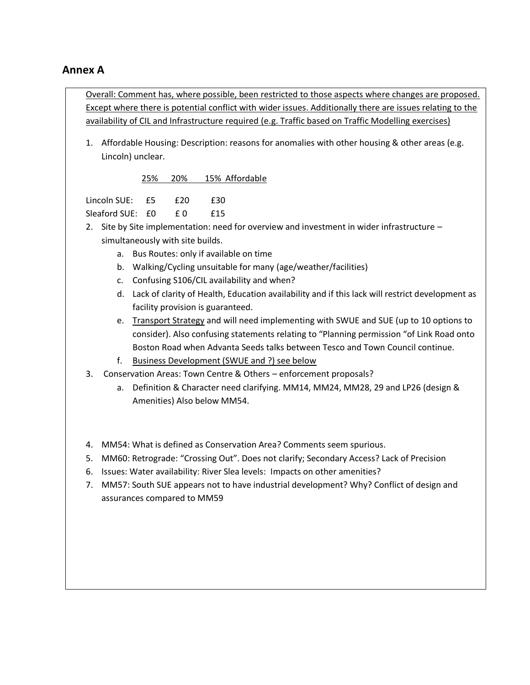# **Annex A**

Overall: Comment has, where possible, been restricted to those aspects where changes are proposed. Except where there is potential conflict with wider issues. Additionally there are issues relating to the availability of CIL and Infrastructure required (e.g. Traffic based on Traffic Modelling exercises)

1. Affordable Housing: Description: reasons for anomalies with other housing & other areas (e.g. Lincoln) unclear.

25% 20% 15% Affordable

| Lincoln SUE: £5  | £20 | £30 |
|------------------|-----|-----|
| Sleaford SUE: £0 | f በ | £15 |

- 2. Site by Site implementation: need for overview and investment in wider infrastructure simultaneously with site builds.
	- a. Bus Routes: only if available on time
	- b. Walking/Cycling unsuitable for many (age/weather/facilities)
	- c. Confusing S106/CIL availability and when?
	- d. Lack of clarity of Health, Education availability and if this lack will restrict development as facility provision is guaranteed.
	- e. Transport Strategy and will need implementing with SWUE and SUE (up to 10 options to consider). Also confusing statements relating to "Planning permission "of Link Road onto Boston Road when Advanta Seeds talks between Tesco and Town Council continue.
	- f. Business Development (SWUE and ?) see below
- 3. Conservation Areas: Town Centre & Others enforcement proposals?
	- a. Definition & Character need clarifying. MM14, MM24, MM28, 29 and LP26 (design & Amenities) Also below MM54.
- 4. MM54: What is defined as Conservation Area? Comments seem spurious.
- 5. MM60: Retrograde: "Crossing Out". Does not clarify; Secondary Access? Lack of Precision
- 6. Issues: Water availability: River Slea levels: Impacts on other amenities?
- 7. MM57: South SUE appears not to have industrial development? Why? Conflict of design and assurances compared to MM59